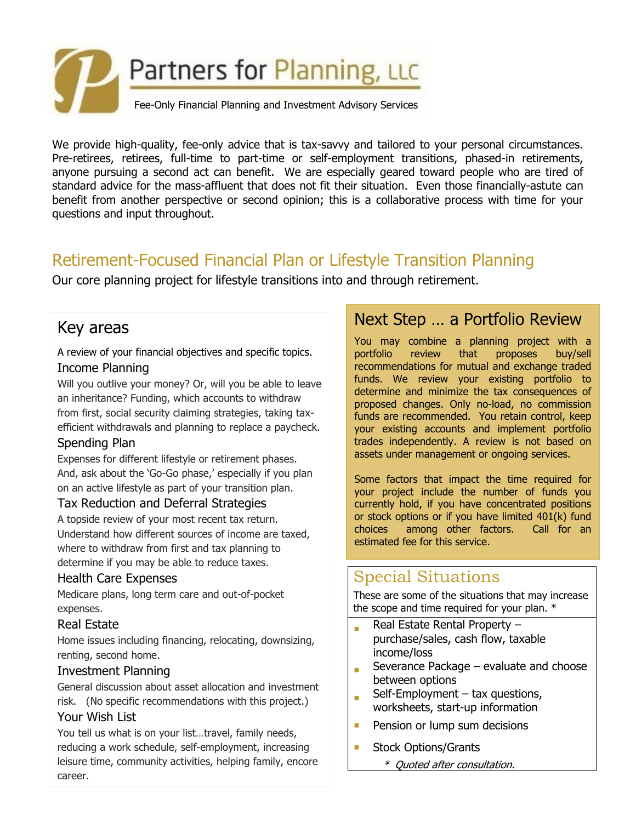

We provide high-quality, fee-only advice that is tax-savvy and tailored to your personal circumstances. Pre-retirees, retirees, full-time to part-time or self-employment transitions, phased-in retirements, anyone pursuing a second act can benefit. We are especially geared toward people who are tired of standard advice for the mass-affluent that does not fit their situation. Even those financially-astute can benefit from another perspective or second opinion; this is a collaborative process with time for your questions and input throughout.

# Retirement-Focused Financial Plan or Lifestyle Transition Planning

Our core planning project for lifestyle transitions into and through retirement.

## Key areas

A review of your financial objectives and specific topics. Income Planning

Will you outlive your money? Or, will you be able to leave an inheritance? Funding, which accounts to withdraw from first, social security claiming strategies, taking taxefficient withdrawals and planning to replace a paycheck.

#### Spending Plan

Expenses for different lifestyle or retirement phases. And, ask about the 'Go-Go phase,' especially if you plan on an active lifestyle as part of your transition plan.

#### Tax Reduction and Deferral Strategies

A topside review of your most recent tax return. Understand how different sources of income are taxed, where to withdraw from first and tax planning to determine if you may be able to reduce taxes.

#### Health Care Expenses

Medicare plans, long term care and out-of-pocket expenses.

#### Real Estate

Home issues including financing, relocating, downsizing, renting, second home.

#### Investment Planning

General discussion about asset allocation and investment risk. (No specific recommendations with this project.)

#### Your Wish List

You tell us what is on your list…travel, family needs, reducing a work schedule, self-employment, increasing leisure time, community activities, helping family, encore career.

### Next Step … a Portfolio Review

You may combine a planning project with a portfolio review that proposes buy/sell recommendations for mutual and exchange traded funds. We review your existing portfolio to determine and minimize the tax consequences of proposed changes. Only no-load, no commission funds are recommended. You retain control, keep your existing accounts and implement portfolio trades independently. A review is not based on assets under management or ongoing services.

Some factors that impact the time required for your project include the number of funds you currently hold, if you have concentrated positions or stock options or if you have limited 401(k) fund choices among other factors. Call for an estimated fee for this service.

## Special Situations

These are some of the situations that may increase the scope and time required for your plan. \*

- Real Estate Rental Property – purchase/sales, cash flow, taxable income/loss
- Severance Package – evaluate and choose between options
- Self-Employment – tax questions, worksheets, start-up information
- **Pension or lump sum decisions**
- Stock Options/Grants
	- \* Quoted after consultation.